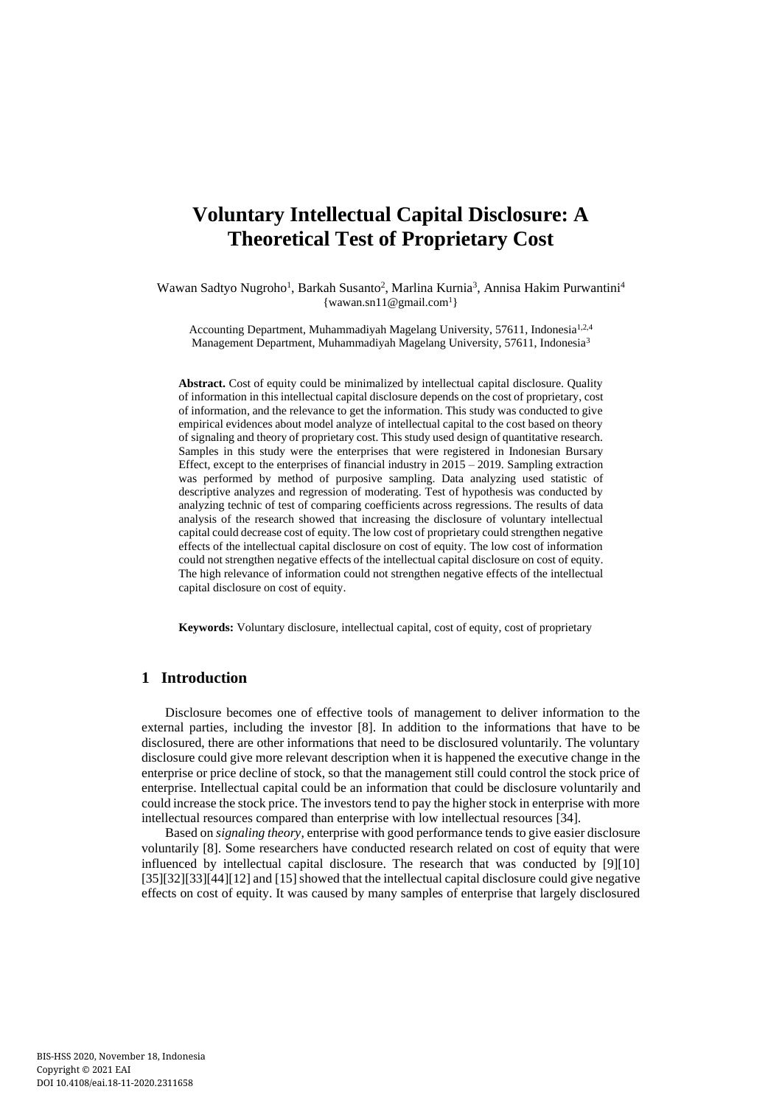# **Voluntary Intellectual Capital Disclosure: A Theoretical Test of Proprietary Cost**

Wawan Sadtyo Nugroho<sup>1</sup>, Barkah Susanto<sup>2</sup>, Marlina Kurnia<sup>3</sup>, Annisa Hakim Purwantini<sup>4</sup>  $\{wawan.sn11@gmail.com<sup>1</sup>\}$  $\{wawan.sn11@gmail.com<sup>1</sup>\}$  $\{wawan.sn11@gmail.com<sup>1</sup>\}$ 

Accounting Department, Muhammadiyah Magelang University, 57611, Indonesia<sup>1,2,4</sup> Management Department, Muhammadiyah Magelang University, 57611, Indonesia<sup>3</sup>

**Abstract.** Cost of equity could be minimalized by intellectual capital disclosure. Quality of information in this intellectual capital disclosure depends on the cost of proprietary, cost of information, and the relevance to get the information. This study was conducted to give empirical evidences about model analyze of intellectual capital to the cost based on theory of signaling and theory of proprietary cost. This study used design of quantitative research. Samples in this study were the enterprises that were registered in Indonesian Bursary Effect, except to the enterprises of financial industry in  $2015 - 2019$ . Sampling extraction was performed by method of purposive sampling. Data analyzing used statistic of descriptive analyzes and regression of moderating. Test of hypothesis was conducted by analyzing technic of test of comparing coefficients across regressions. The results of data analysis of the research showed that increasing the disclosure of voluntary intellectual capital could decrease cost of equity. The low cost of proprietary could strengthen negative effects of the intellectual capital disclosure on cost of equity. The low cost of information could not strengthen negative effects of the intellectual capital disclosure on cost of equity. The high relevance of information could not strengthen negative effects of the intellectual capital disclosure on cost of equity.

**Keywords:** Voluntary disclosure, intellectual capital, cost of equity, cost of proprietary

# **1 Introduction**

Disclosure becomes one of effective tools of management to deliver information to the external parties, including the investor [8]. In addition to the informations that have to be disclosured, there are other informations that need to be disclosured voluntarily. The voluntary disclosure could give more relevant description when it is happened the executive change in the enterprise or price decline of stock, so that the management still could control the stock price of enterprise. Intellectual capital could be an information that could be disclosure voluntarily and could increase the stock price. The investors tend to pay the higher stock in enterprise with more intellectual resources compared than enterprise with low intellectual resources [34].

Based on *signaling theory*, enterprise with good performance tends to give easier disclosure voluntarily [8]. Some researchers have conducted research related on cost of equity that were influenced by intellectual capital disclosure. The research that was conducted by [9][10] [35][32][33][44][12] and [15] showed that the intellectual capital disclosure could give negative effects on cost of equity. It was caused by many samples of enterprise that largely disclosured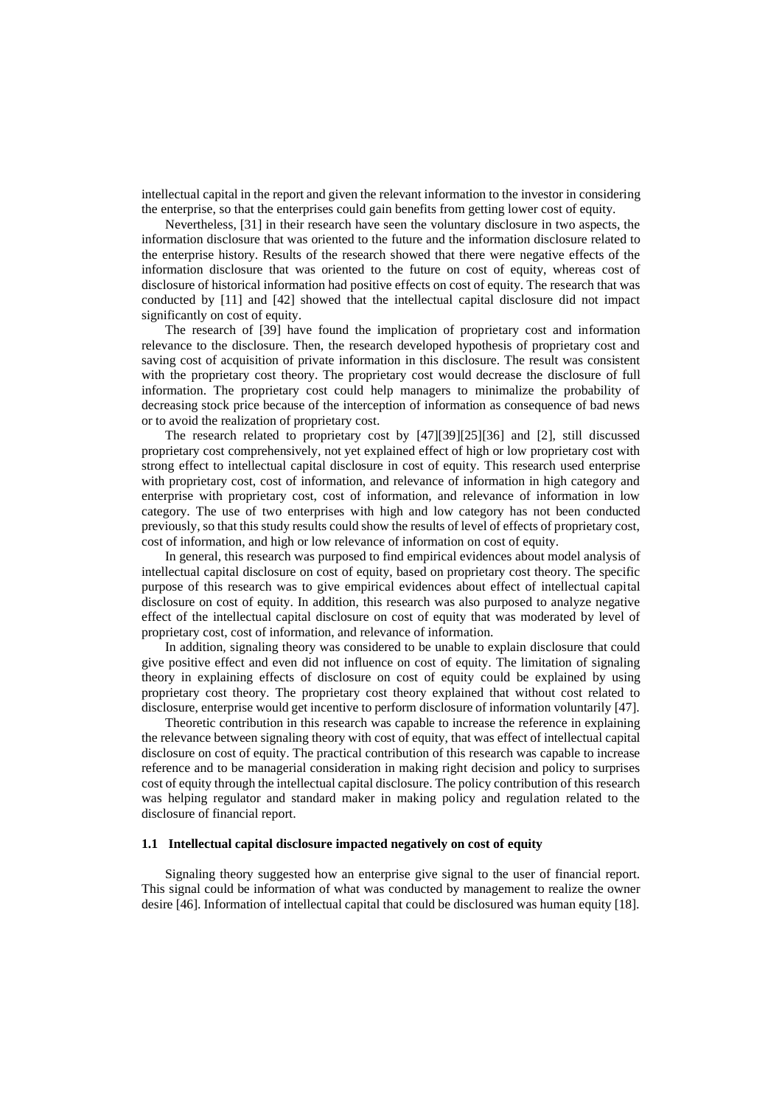intellectual capital in the report and given the relevant information to the investor in considering the enterprise, so that the enterprises could gain benefits from getting lower cost of equity.

Nevertheless, [31] in their research have seen the voluntary disclosure in two aspects, the information disclosure that was oriented to the future and the information disclosure related to the enterprise history. Results of the research showed that there were negative effects of the information disclosure that was oriented to the future on cost of equity, whereas cost of disclosure of historical information had positive effects on cost of equity. The research that was conducted by [11] and [42] showed that the intellectual capital disclosure did not impact significantly on cost of equity.

The research of [39] have found the implication of proprietary cost and information relevance to the disclosure. Then, the research developed hypothesis of proprietary cost and saving cost of acquisition of private information in this disclosure. The result was consistent with the proprietary cost theory. The proprietary cost would decrease the disclosure of full information. The proprietary cost could help managers to minimalize the probability of decreasing stock price because of the interception of information as consequence of bad news or to avoid the realization of proprietary cost.

The research related to proprietary cost by [47][39][25][36] and [2], still discussed proprietary cost comprehensively, not yet explained effect of high or low proprietary cost with strong effect to intellectual capital disclosure in cost of equity. This research used enterprise with proprietary cost, cost of information, and relevance of information in high category and enterprise with proprietary cost, cost of information, and relevance of information in low category. The use of two enterprises with high and low category has not been conducted previously, so that this study results could show the results of level of effects of proprietary cost, cost of information, and high or low relevance of information on cost of equity.

In general, this research was purposed to find empirical evidences about model analysis of intellectual capital disclosure on cost of equity, based on proprietary cost theory. The specific purpose of this research was to give empirical evidences about effect of intellectual capital disclosure on cost of equity. In addition, this research was also purposed to analyze negative effect of the intellectual capital disclosure on cost of equity that was moderated by level of proprietary cost, cost of information, and relevance of information.

In addition, signaling theory was considered to be unable to explain disclosure that could give positive effect and even did not influence on cost of equity. The limitation of signaling theory in explaining effects of disclosure on cost of equity could be explained by using proprietary cost theory. The proprietary cost theory explained that without cost related to disclosure, enterprise would get incentive to perform disclosure of information voluntarily [47].

Theoretic contribution in this research was capable to increase the reference in explaining the relevance between signaling theory with cost of equity, that was effect of intellectual capital disclosure on cost of equity. The practical contribution of this research was capable to increase reference and to be managerial consideration in making right decision and policy to surprises cost of equity through the intellectual capital disclosure. The policy contribution of this research was helping regulator and standard maker in making policy and regulation related to the disclosure of financial report.

## **1.1 Intellectual capital disclosure impacted negatively on cost of equity**

Signaling theory suggested how an enterprise give signal to the user of financial report. This signal could be information of what was conducted by management to realize the owner desire [46]. Information of intellectual capital that could be disclosured was human equity [18].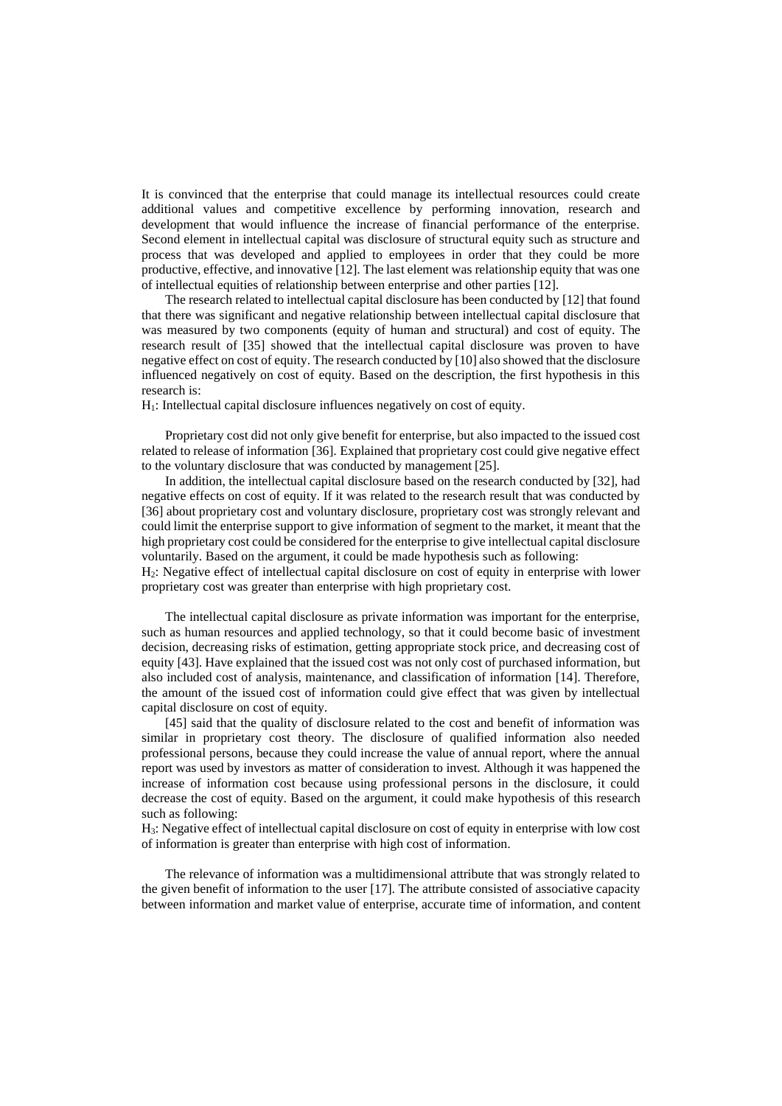It is convinced that the enterprise that could manage its intellectual resources could create additional values and competitive excellence by performing innovation, research and development that would influence the increase of financial performance of the enterprise. Second element in intellectual capital was disclosure of structural equity such as structure and process that was developed and applied to employees in order that they could be more productive, effective, and innovative [12]. The last element was relationship equity that was one of intellectual equities of relationship between enterprise and other parties [12].

The research related to intellectual capital disclosure has been conducted by [12] that found that there was significant and negative relationship between intellectual capital disclosure that was measured by two components (equity of human and structural) and cost of equity. The research result of [35] showed that the intellectual capital disclosure was proven to have negative effect on cost of equity. The research conducted by [10] also showed that the disclosure influenced negatively on cost of equity. Based on the description, the first hypothesis in this research is:

H1: Intellectual capital disclosure influences negatively on cost of equity.

Proprietary cost did not only give benefit for enterprise, but also impacted to the issued cost related to release of information [36]. Explained that proprietary cost could give negative effect to the voluntary disclosure that was conducted by management [25].

In addition, the intellectual capital disclosure based on the research conducted by [32], had negative effects on cost of equity. If it was related to the research result that was conducted by [36] about proprietary cost and voluntary disclosure, proprietary cost was strongly relevant and could limit the enterprise support to give information of segment to the market, it meant that the high proprietary cost could be considered for the enterprise to give intellectual capital disclosure voluntarily. Based on the argument, it could be made hypothesis such as following:

H2: Negative effect of intellectual capital disclosure on cost of equity in enterprise with lower proprietary cost was greater than enterprise with high proprietary cost.

The intellectual capital disclosure as private information was important for the enterprise, such as human resources and applied technology, so that it could become basic of investment decision, decreasing risks of estimation, getting appropriate stock price, and decreasing cost of equity [43]. Have explained that the issued cost was not only cost of purchased information, but also included cost of analysis, maintenance, and classification of information [14]. Therefore, the amount of the issued cost of information could give effect that was given by intellectual capital disclosure on cost of equity.

[45] said that the quality of disclosure related to the cost and benefit of information was similar in proprietary cost theory. The disclosure of qualified information also needed professional persons, because they could increase the value of annual report, where the annual report was used by investors as matter of consideration to invest. Although it was happened the increase of information cost because using professional persons in the disclosure, it could decrease the cost of equity. Based on the argument, it could make hypothesis of this research such as following:

H3: Negative effect of intellectual capital disclosure on cost of equity in enterprise with low cost of information is greater than enterprise with high cost of information.

The relevance of information was a multidimensional attribute that was strongly related to the given benefit of information to the user [17]. The attribute consisted of associative capacity between information and market value of enterprise, accurate time of information, and content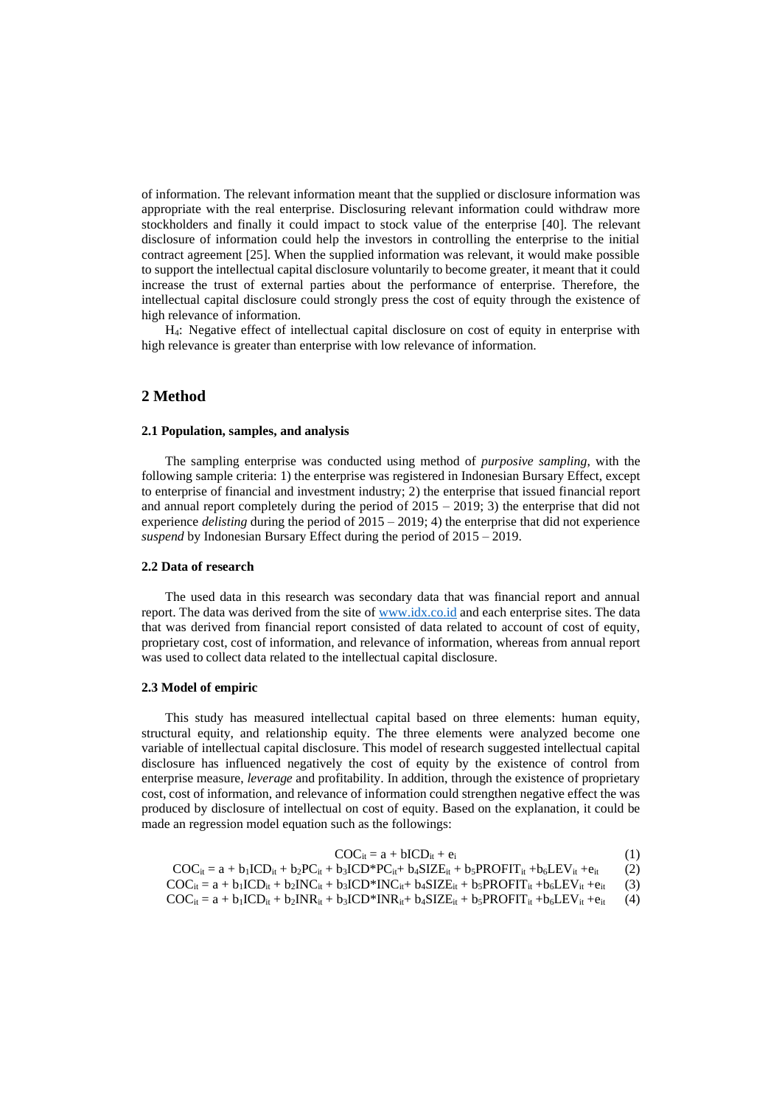of information. The relevant information meant that the supplied or disclosure information was appropriate with the real enterprise. Disclosuring relevant information could withdraw more stockholders and finally it could impact to stock value of the enterprise [40]. The relevant disclosure of information could help the investors in controlling the enterprise to the initial contract agreement [25]. When the supplied information was relevant, it would make possible to support the intellectual capital disclosure voluntarily to become greater, it meant that it could increase the trust of external parties about the performance of enterprise. Therefore, the intellectual capital disclosure could strongly press the cost of equity through the existence of high relevance of information.

H4: Negative effect of intellectual capital disclosure on cost of equity in enterprise with high relevance is greater than enterprise with low relevance of information.

## **2 Method**

#### **2.1 Population, samples, and analysis**

The sampling enterprise was conducted using method of *purposive sampling*, with the following sample criteria: 1) the enterprise was registered in Indonesian Bursary Effect, except to enterprise of financial and investment industry; 2) the enterprise that issued financial report and annual report completely during the period of  $2015 - 2019$ ; 3) the enterprise that did not experience *delisting* during the period of 2015 – 2019; 4) the enterprise that did not experience *suspend* by Indonesian Bursary Effect during the period of 2015 – 2019.

#### **2.2 Data of research**

The used data in this research was secondary data that was financial report and annual report. The data was derived from the site o[f www.idx.co.id](http://www.idx.co.id/) and each enterprise sites. The data that was derived from financial report consisted of data related to account of cost of equity, proprietary cost, cost of information, and relevance of information, whereas from annual report was used to collect data related to the intellectual capital disclosure.

## **2.3 Model of empiric**

This study has measured intellectual capital based on three elements: human equity, structural equity, and relationship equity. The three elements were analyzed become one variable of intellectual capital disclosure. This model of research suggested intellectual capital disclosure has influenced negatively the cost of equity by the existence of control from enterprise measure, *leverage* and profitability. In addition, through the existence of proprietary cost, cost of information, and relevance of information could strengthen negative effect the was produced by disclosure of intellectual on cost of equity. Based on the explanation, it could be made an regression model equation such as the followings:

| $COC_{it} = a + bICD_{it} + e_i$ |  |  |
|----------------------------------|--|--|
|----------------------------------|--|--|

- $\text{COC}_{it} = a + b_1 \text{ICD}_{it} + b_2 \text{PC}_{it} + b_3 \text{ICD}^* \text{PC}_{it} + b_4 \text{SIZE}_{it} + b_5 \text{PROFIT}_{it} + b_6 \text{LEV}_{it} + e_{it}$  (2)
- $\text{COC}_{it} = a + b_1 \text{ICD}_{it} + b_2 \text{INC}_{it} + b_3 \text{ICD}^* \text{INC}_{it} + b_4 \text{SIZE}_{it} + b_5 \text{PROFIT}_{it} + b_6 \text{LEV}_{it} + e_{it}$  (3)  $\text{COC}_{it} = a + b_1 \text{ICD}_{it} + b_2 \text{INR}_{it} + b_3 \text{ICD}^* \text{INR}_{it} + b_4 \text{SIZE}_{it} + b_5 \text{PROFIT}_{it} + b_6 \text{LEV}_{it} + e_{it}$  (4)
-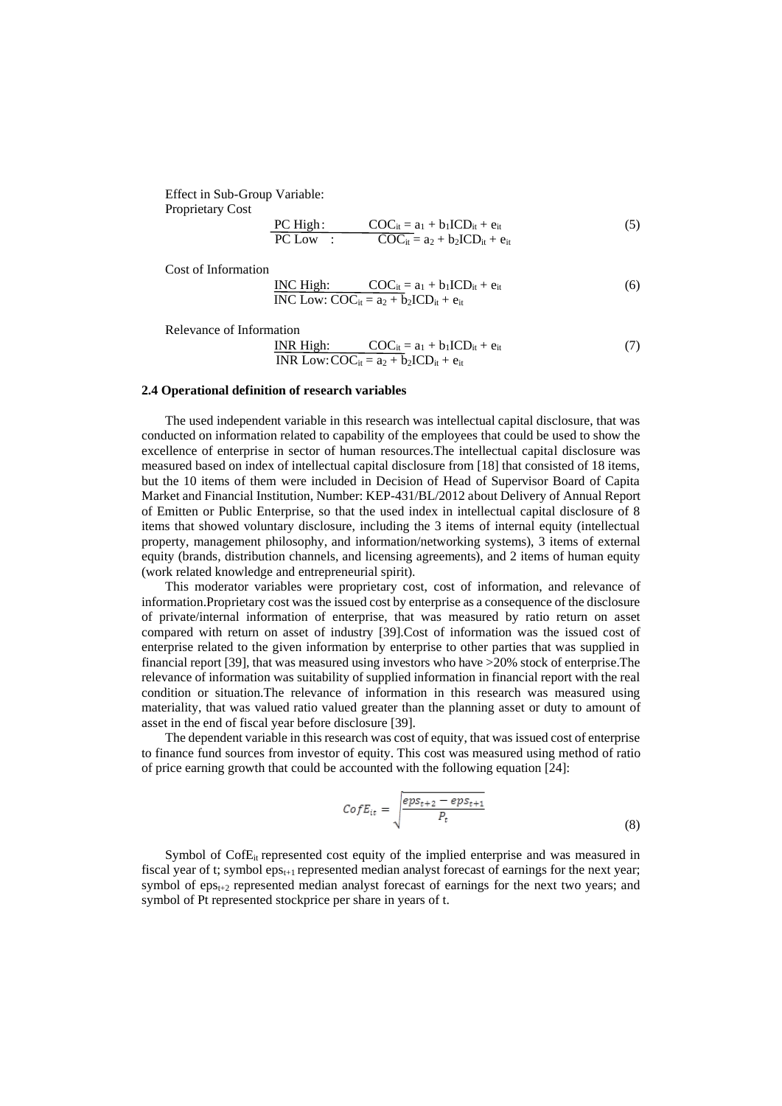Effect in Sub-Group Variable: Proprietary Cost

$$
\frac{\text{PC High:}}{\text{PC Low:}} \frac{\text{COC}_{it} = a_1 + b_1 \text{ICD}_{it} + e_{it}}{\text{COC}_{it} = a_2 + b_2 \text{ICD}_{it} + e_{it}} \tag{5}
$$

Cost of Information

INC High: 
$$
\frac{\text{COC}_{it}}{\text{INC Low: COC}_{it}} = a_1 + b_1 \text{ICD}_{it} + e_{it}
$$
 (6)

Relevance of Information

INR High: 
$$
COC_{it} = a_1 + b_1 ICD_{it} + e_{it}
$$
  
INR Low: 
$$
COC_{it} = a_2 + b_2 ICD_{it} + e_{it}
$$
 (7)

#### **2.4 Operational definition of research variables**

The used independent variable in this research was intellectual capital disclosure, that was conducted on information related to capability of the employees that could be used to show the excellence of enterprise in sector of human resources.The intellectual capital disclosure was measured based on index of intellectual capital disclosure from [18] that consisted of 18 items, but the 10 items of them were included in Decision of Head of Supervisor Board of Capita Market and Financial Institution, Number: KEP-431/BL/2012 about Delivery of Annual Report of Emitten or Public Enterprise, so that the used index in intellectual capital disclosure of 8 items that showed voluntary disclosure, including the 3 items of internal equity (intellectual property, management philosophy, and information/networking systems), 3 items of external equity (brands, distribution channels, and licensing agreements), and 2 items of human equity (work related knowledge and entrepreneurial spirit).

This moderator variables were proprietary cost, cost of information, and relevance of information.Proprietary cost was the issued cost by enterprise as a consequence of the disclosure of private/internal information of enterprise, that was measured by ratio return on asset compared with return on asset of industry [39].Cost of information was the issued cost of enterprise related to the given information by enterprise to other parties that was supplied in financial report [39], that was measured using investors who have >20% stock of enterprise.The relevance of information was suitability of supplied information in financial report with the real condition or situation.The relevance of information in this research was measured using materiality, that was valued ratio valued greater than the planning asset or duty to amount of asset in the end of fiscal year before disclosure [39].

The dependent variable in this research was cost of equity, that was issued cost of enterprise to finance fund sources from investor of equity. This cost was measured using method of ratio of price earning growth that could be accounted with the following equation [24]:

$$
CofE_{it} = \sqrt{\frac{eps_{t+2} - eps_{t+1}}{P_t}}
$$
\n(8)

Symbol of CofE<sub>it</sub> represented cost equity of the implied enterprise and was measured in fiscal year of t; symbol  $eps_{t+1}$  represented median analyst forecast of earnings for the next year; symbol of  $eps_{t+2}$  represented median analyst forecast of earnings for the next two years; and symbol of Pt represented stockprice per share in years of t.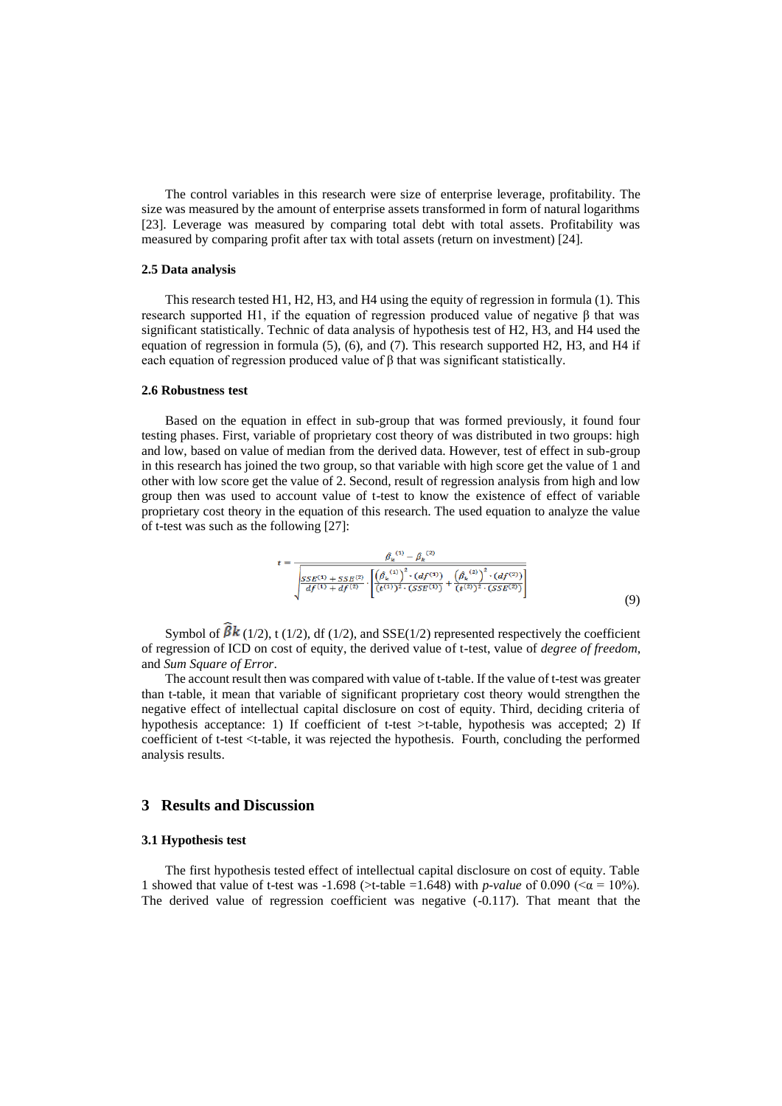The control variables in this research were size of enterprise leverage, profitability. The size was measured by the amount of enterprise assets transformed in form of natural logarithms [23]. Leverage was measured by comparing total debt with total assets. Profitability was measured by comparing profit after tax with total assets (return on investment) [24].

## **2.5 Data analysis**

This research tested H1, H2, H3, and H4 using the equity of regression in formula (1). This research supported H1, if the equation of regression produced value of negative β that was significant statistically. Technic of data analysis of hypothesis test of H2, H3, and H4 used the equation of regression in formula (5), (6), and (7). This research supported H2, H3, and H4 if each equation of regression produced value of  $\beta$  that was significant statistically.

#### **2.6 Robustness test**

Based on the equation in effect in sub-group that was formed previously, it found four testing phases. First, variable of proprietary cost theory of was distributed in two groups: high and low, based on value of median from the derived data. However, test of effect in sub-group in this research has joined the two group, so that variable with high score get the value of 1 and other with low score get the value of 2. Second, result of regression analysis from high and low group then was used to account value of t-test to know the existence of effect of variable proprietary cost theory in the equation of this research. The used equation to analyze the value of t-test was such as the following [27]:

$$
t = \frac{\hat{\beta}_k^{(1)} - \hat{\beta}_k^{(2)}}{\sqrt{\frac{SSE^{(1)} + SSE^{(2)}}{df^{(1)} + df^{(2)}} \cdot \left[ \left(\hat{\beta}_k^{(1)}\right)^2 \cdot (df^{(1)}) + \left(\hat{\beta}_k^{(2)}\right)^2 \cdot (df^{(2)}) \right]}}
$$
\n
$$
(9)
$$

Symbol of  $\beta k$  (1/2), t (1/2), df (1/2), and SSE(1/2) represented respectively the coefficient of regression of ICD on cost of equity, the derived value of t-test, value of *degree of freedom*, and *Sum Square of Error*.

The account result then was compared with value of t-table. If the value of t-test was greater than t-table, it mean that variable of significant proprietary cost theory would strengthen the negative effect of intellectual capital disclosure on cost of equity. Third, deciding criteria of hypothesis acceptance: 1) If coefficient of t-test >t-table, hypothesis was accepted; 2) If coefficient of t-test <t-table, it was rejected the hypothesis. Fourth, concluding the performed analysis results.

# **3 Results and Discussion**

## **3.1 Hypothesis test**

The first hypothesis tested effect of intellectual capital disclosure on cost of equity. Table 1 showed that value of t-test was  $-1.698$  (>t-table =1.648) with *p-value* of 0.090 (< $\alpha = 10\%$ ). The derived value of regression coefficient was negative (-0.117). That meant that the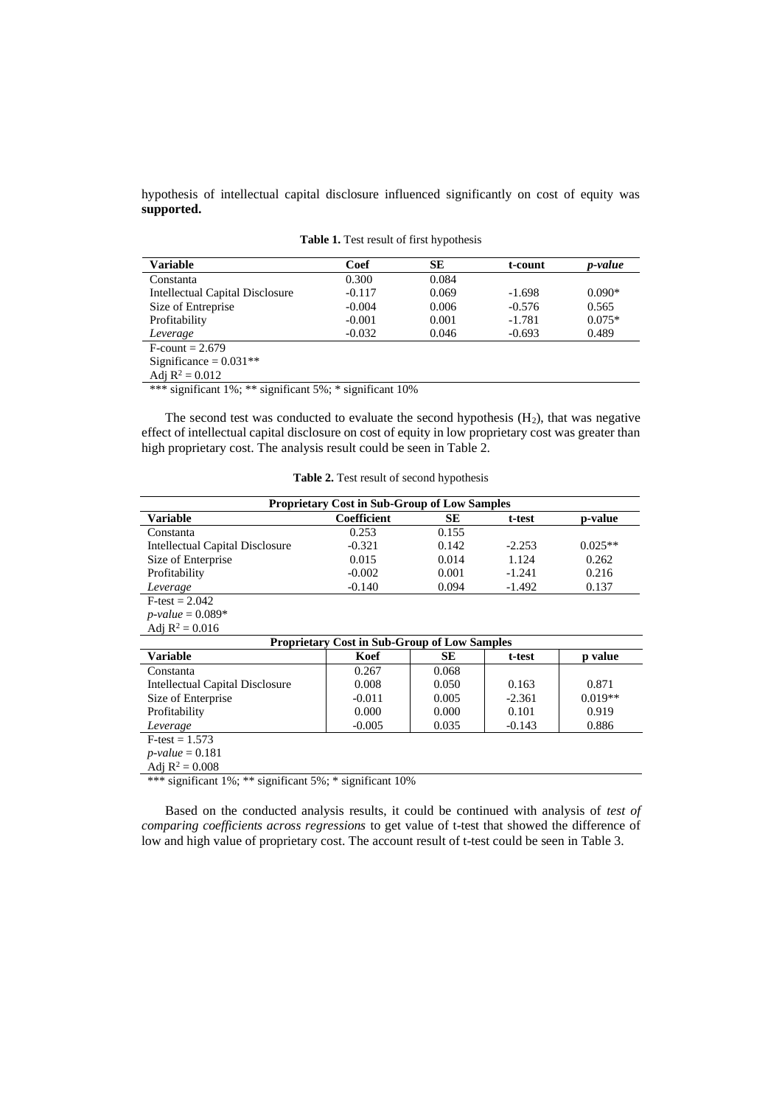hypothesis of intellectual capital disclosure influenced significantly on cost of equity was **supported.**

| <b>Variable</b>                 | Coef     | SЕ    | t-count  | <i>p</i> -value |
|---------------------------------|----------|-------|----------|-----------------|
| Constanta                       | 0.300    | 0.084 |          |                 |
| Intellectual Capital Disclosure | $-0.117$ | 0.069 | $-1.698$ | $0.090*$        |
| Size of Entreprise              | $-0.004$ | 0.006 | $-0.576$ | 0.565           |
| Profitability                   | $-0.001$ | 0.001 | $-1.781$ | $0.075*$        |
| Leverage                        | $-0.032$ | 0.046 | $-0.693$ | 0.489           |
| $F$ -count = 2.679              |          |       |          |                 |
| Significance = $0.031**$        |          |       |          |                 |
| Adj $R^2 = 0.012$               |          |       |          |                 |

**Table 1.** Test result of first hypothesis

\*\*\* significant 1%; \*\* significant 5%; \* significant 10%

The second test was conducted to evaluate the second hypothesis  $(H<sub>2</sub>)$ , that was negative effect of intellectual capital disclosure on cost of equity in low proprietary cost was greater than high proprietary cost. The analysis result could be seen in Table 2.

| <b>Table 2.</b> Test result of second hypothesis |  |  |  |  |  |  |
|--------------------------------------------------|--|--|--|--|--|--|
|--------------------------------------------------|--|--|--|--|--|--|

| <b>Proprietary Cost in Sub-Group of Low Samples</b> |                                                     |       |          |           |  |  |
|-----------------------------------------------------|-----------------------------------------------------|-------|----------|-----------|--|--|
| <b>Variable</b>                                     | Coefficient                                         | SЕ    | t-test   | p-value   |  |  |
| Constanta                                           | 0.253                                               | 0.155 |          |           |  |  |
| <b>Intellectual Capital Disclosure</b>              | $-0.321$                                            | 0.142 | $-2.253$ | $0.025**$ |  |  |
| Size of Enterprise                                  | 0.015                                               | 0.014 | 1.124    | 0.262     |  |  |
| Profitability                                       | $-0.002$                                            | 0.001 | $-1.241$ | 0.216     |  |  |
| Leverage                                            | $-0.140$                                            | 0.094 | $-1.492$ | 0.137     |  |  |
| $F-test = 2.042$                                    |                                                     |       |          |           |  |  |
| <i>p</i> - <i>value</i> = $0.089*$                  |                                                     |       |          |           |  |  |
| Adi $R^2 = 0.016$                                   |                                                     |       |          |           |  |  |
|                                                     | <b>Proprietary Cost in Sub-Group of Low Samples</b> |       |          |           |  |  |
| <b>Variable</b>                                     | Koef                                                | SЕ    | t-test   | p value   |  |  |
| Constanta                                           | 0.267                                               | 0.068 |          |           |  |  |
| <b>Intellectual Capital Disclosure</b>              | 0.008                                               | 0.050 | 0.163    | 0.871     |  |  |
| Size of Enterprise                                  | $-0.011$                                            | 0.005 | $-2.361$ | $0.019**$ |  |  |
| Profitability                                       | 0.000                                               | 0.000 | 0.101    | 0.919     |  |  |
| Leverage                                            | $-0.005$                                            | 0.035 | $-0.143$ | 0.886     |  |  |
| $F-test = 1.573$                                    |                                                     |       |          |           |  |  |
| <i>p</i> - <i>value</i> = $0.181$                   |                                                     |       |          |           |  |  |
| Adj $R^2 = 0.008$                                   |                                                     |       |          |           |  |  |

\*\*\* significant 1%; \*\* significant 5%; \* significant 10%

Based on the conducted analysis results, it could be continued with analysis of *test of comparing coefficients across regressions* to get value of t-test that showed the difference of low and high value of proprietary cost. The account result of t-test could be seen in Table 3.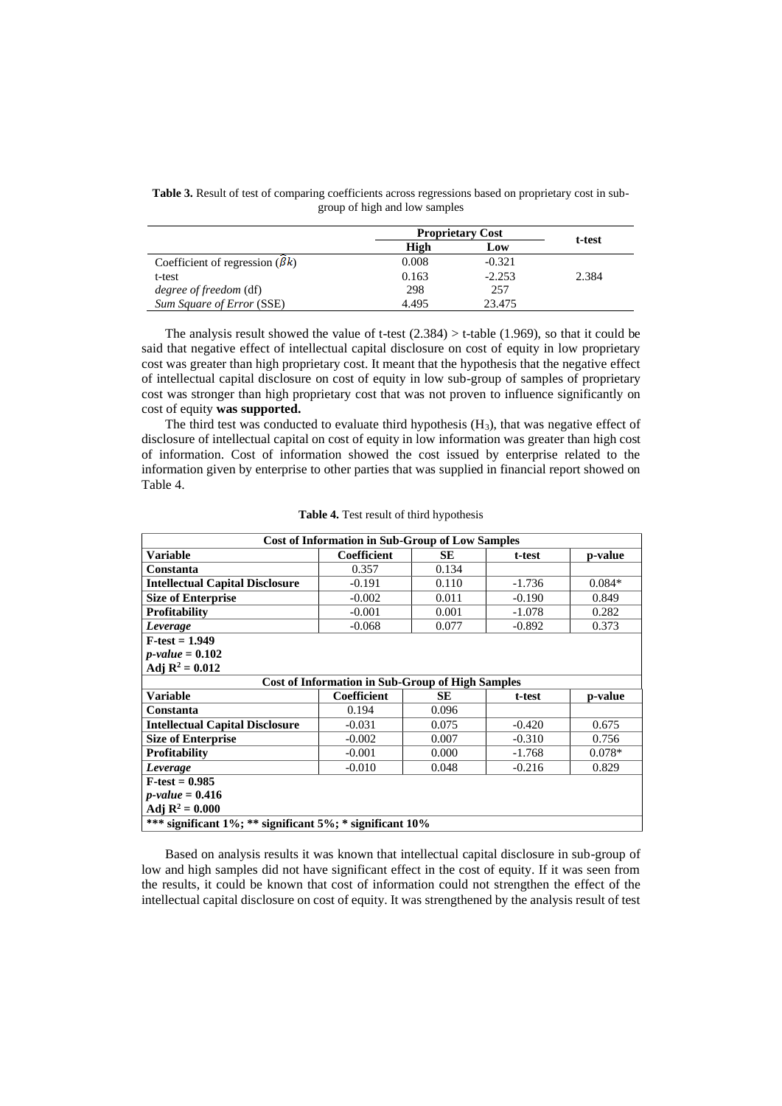|                                       |       | <b>Proprietary Cost</b> |        |
|---------------------------------------|-------|-------------------------|--------|
|                                       | High  | Low                     | t-test |
| Coefficient of regression $(\beta k)$ | 0.008 | $-0.321$                |        |
| t-test                                | 0.163 | $-2.253$                | 2.384  |
| <i>degree of freedom</i> (df)         | 298   | 257                     |        |
| Sum Square of Error (SSE)             | 4.495 | 23.475                  |        |

Table 3. Result of test of comparing coefficients across regressions based on proprietary cost in subgroup of high and low samples

The analysis result showed the value of t-test  $(2.384) > t$ -table  $(1.969)$ , so that it could be said that negative effect of intellectual capital disclosure on cost of equity in low proprietary cost was greater than high proprietary cost. It meant that the hypothesis that the negative effect of intellectual capital disclosure on cost of equity in low sub-group of samples of proprietary cost was stronger than high proprietary cost that was not proven to influence significantly on cost of equity **was supported.**

The third test was conducted to evaluate third hypothesis  $(H<sub>3</sub>)$ , that was negative effect of disclosure of intellectual capital on cost of equity in low information was greater than high cost of information. Cost of information showed the cost issued by enterprise related to the information given by enterprise to other parties that was supplied in financial report showed on Table 4.

| <b>Cost of Information in Sub-Group of Low Samples</b>   |                                                         |       |          |          |  |  |  |
|----------------------------------------------------------|---------------------------------------------------------|-------|----------|----------|--|--|--|
| <b>Variable</b>                                          | Coefficient                                             | SЕ    | t-test   | p-value  |  |  |  |
| Constanta                                                | 0.357                                                   | 0.134 |          |          |  |  |  |
| <b>Intellectual Capital Disclosure</b>                   | $-0.191$                                                | 0.110 | $-1.736$ | $0.084*$ |  |  |  |
| <b>Size of Enterprise</b>                                | $-0.002$                                                | 0.011 | $-0.190$ | 0.849    |  |  |  |
| <b>Profitability</b>                                     | $-0.001$                                                | 0.001 | $-1.078$ | 0.282    |  |  |  |
| Leverage                                                 | $-0.068$                                                | 0.077 | $-0.892$ | 0.373    |  |  |  |
| $F-test = 1.949$                                         |                                                         |       |          |          |  |  |  |
| $p$ -value = 0.102                                       |                                                         |       |          |          |  |  |  |
| Adj $R^2 = 0.012$                                        |                                                         |       |          |          |  |  |  |
|                                                          | <b>Cost of Information in Sub-Group of High Samples</b> |       |          |          |  |  |  |
| <b>Variable</b>                                          | Coefficient                                             | SЕ    | t-test   | p-value  |  |  |  |
| Constanta                                                | 0.194                                                   | 0.096 |          |          |  |  |  |
| <b>Intellectual Capital Disclosure</b>                   | $-0.031$                                                | 0.075 | $-0.420$ | 0.675    |  |  |  |
| <b>Size of Enterprise</b>                                | $-0.002$                                                | 0.007 | $-0.310$ | 0.756    |  |  |  |
| <b>Profitability</b>                                     | $-0.001$                                                | 0.000 | $-1.768$ | $0.078*$ |  |  |  |
| Leverage                                                 | $-0.010$                                                | 0.048 | $-0.216$ | 0.829    |  |  |  |
| $F-test = 0.985$                                         |                                                         |       |          |          |  |  |  |
| <i>p</i> -value = $0.416$                                |                                                         |       |          |          |  |  |  |
| Adj $R^2 = 0.000$                                        |                                                         |       |          |          |  |  |  |
| *** significant 1%; ** significant 5%; * significant 10% |                                                         |       |          |          |  |  |  |

**Table 4.** Test result of third hypothesis

Based on analysis results it was known that intellectual capital disclosure in sub-group of low and high samples did not have significant effect in the cost of equity. If it was seen from the results, it could be known that cost of information could not strengthen the effect of the intellectual capital disclosure on cost of equity. It was strengthened by the analysis result of test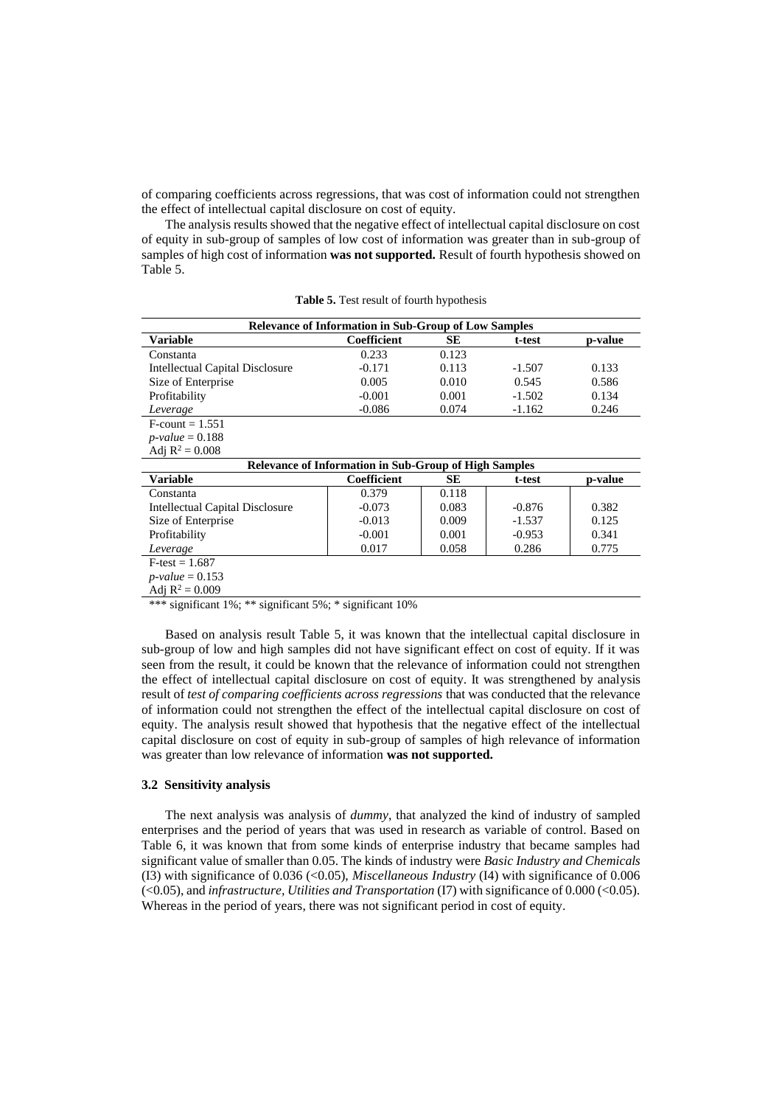of comparing coefficients across regressions, that was cost of information could not strengthen the effect of intellectual capital disclosure on cost of equity.

The analysis results showed that the negative effect of intellectual capital disclosure on cost of equity in sub-group of samples of low cost of information was greater than in sub-group of samples of high cost of information **was not supported.** Result of fourth hypothesis showed on Table 5.

| <b>Relevance of Information in Sub-Group of Low Samples</b> |             |       |          |         |  |  |
|-------------------------------------------------------------|-------------|-------|----------|---------|--|--|
| Variable                                                    | Coefficient | SЕ    | t-test   | p-value |  |  |
| Constanta                                                   | 0.233       | 0.123 |          |         |  |  |
| Intellectual Capital Disclosure                             | $-0.171$    | 0.113 | $-1.507$ | 0.133   |  |  |
| Size of Enterprise                                          | 0.005       | 0.010 | 0.545    | 0.586   |  |  |
| Profitability                                               | $-0.001$    | 0.001 | $-1.502$ | 0.134   |  |  |
| Leverage                                                    | $-0.086$    | 0.074 | $-1.162$ | 0.246   |  |  |
| $F$ -count = 1.551                                          |             |       |          |         |  |  |
| $p$ -value = 0.188                                          |             |       |          |         |  |  |

**Table 5.** Test result of fourth hypothesis

| Adj $R^2 = 0.008$                                     |             |       |          |         |  |  |
|-------------------------------------------------------|-------------|-------|----------|---------|--|--|
| Relevance of Information in Sub-Group of High Samples |             |       |          |         |  |  |
| Variable                                              | Coefficient | SЕ    | t-test   | p-value |  |  |
| Constanta                                             | 0.379       | 0.118 |          |         |  |  |
| <b>Intellectual Capital Disclosure</b>                | $-0.073$    | 0.083 | $-0.876$ | 0.382   |  |  |
| Size of Enterprise                                    | $-0.013$    | 0.009 | $-1.537$ | 0.125   |  |  |
| Profitability                                         | $-0.001$    | 0.001 | $-0.953$ | 0.341   |  |  |
| Leverage                                              | 0.017       | 0.058 | 0.286    | 0.775   |  |  |
| $F-test = 1.687$                                      |             |       |          |         |  |  |
| $p-value = 0.153$                                     |             |       |          |         |  |  |
| Adj $R^2 = 0.009$                                     |             |       |          |         |  |  |

\*\*\* significant 1%; \*\* significant 5%; \* significant 10%

Based on analysis result Table 5, it was known that the intellectual capital disclosure in sub-group of low and high samples did not have significant effect on cost of equity. If it was seen from the result, it could be known that the relevance of information could not strengthen the effect of intellectual capital disclosure on cost of equity. It was strengthened by analysis result of *test of comparing coefficients across regressions* that was conducted that the relevance of information could not strengthen the effect of the intellectual capital disclosure on cost of equity. The analysis result showed that hypothesis that the negative effect of the intellectual capital disclosure on cost of equity in sub-group of samples of high relevance of information was greater than low relevance of information **was not supported.**

## **3.2 Sensitivity analysis**

The next analysis was analysis of *dummy*, that analyzed the kind of industry of sampled enterprises and the period of years that was used in research as variable of control. Based on Table 6, it was known that from some kinds of enterprise industry that became samples had significant value of smaller than 0.05. The kinds of industry were *Basic Industry and Chemicals* (I3) with significance of 0.036 (<0.05), *Miscellaneous Industry* (I4) with significance of 0.006 (<0.05), and *infrastructure, Utilities and Transportation* (I7) with significance of 0.000 (<0.05). Whereas in the period of years, there was not significant period in cost of equity.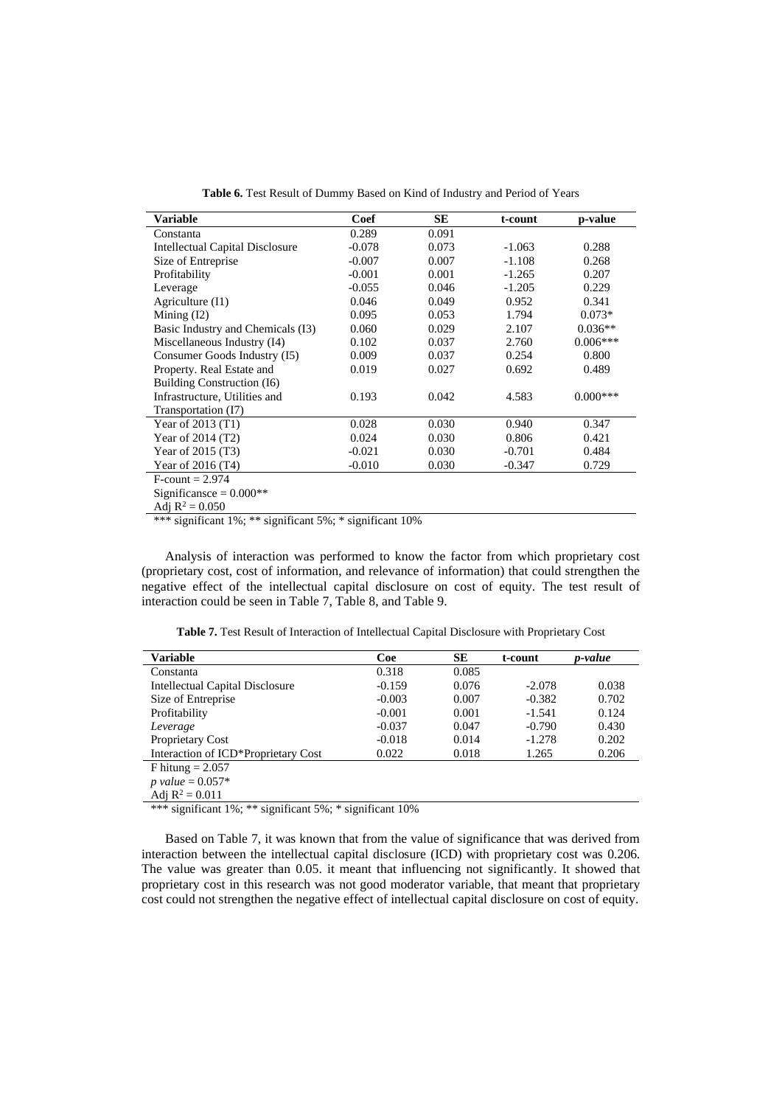**Table 6.** Test Result of Dummy Based on Kind of Industry and Period of Years

| Variable                               | Coef     | <b>SE</b> | t-count  | p-value    |
|----------------------------------------|----------|-----------|----------|------------|
| Constanta                              | 0.289    | 0.091     |          |            |
| <b>Intellectual Capital Disclosure</b> | $-0.078$ | 0.073     | $-1.063$ | 0.288      |
| Size of Entreprise                     | $-0.007$ | 0.007     | $-1.108$ | 0.268      |
| Profitability                          | $-0.001$ | 0.001     | $-1.265$ | 0.207      |
| Leverage                               | $-0.055$ | 0.046     | $-1.205$ | 0.229      |
| Agriculture $(11)$                     | 0.046    | 0.049     | 0.952    | 0.341      |
| Mining $(12)$                          | 0.095    | 0.053     | 1.794    | $0.073*$   |
| Basic Industry and Chemicals (I3)      | 0.060    | 0.029     | 2.107    | $0.036**$  |
| Miscellaneous Industry (I4)            | 0.102    | 0.037     | 2.760    | $0.006***$ |
| Consumer Goods Industry (15)           | 0.009    | 0.037     | 0.254    | 0.800      |
| Property. Real Estate and              | 0.019    | 0.027     | 0.692    | 0.489      |
| Building Construction (I6)             |          |           |          |            |
| Infrastructure, Utilities and          | 0.193    | 0.042     | 4.583    | $0.000***$ |
| Transportation (I7)                    |          |           |          |            |
| Year of $2013(T1)$                     | 0.028    | 0.030     | 0.940    | 0.347      |
| Year of 2014 (T2)                      | 0.024    | 0.030     | 0.806    | 0.421      |
| Year of 2015 (T3)                      | $-0.021$ | 0.030     | $-0.701$ | 0.484      |
| Year of 2016 (T4)                      | $-0.010$ | 0.030     | $-0.347$ | 0.729      |
| $F$ -count = 2.974                     |          |           |          |            |
| Significansce = $0.000**$              |          |           |          |            |
| Adj $R^2 = 0.050$                      |          |           |          |            |

\*\*\* significant 1%; \*\* significant 5%; \* significant 10%

Analysis of interaction was performed to know the factor from which proprietary cost (proprietary cost, cost of information, and relevance of information) that could strengthen the negative effect of the intellectual capital disclosure on cost of equity. The test result of interaction could be seen in Table 7, Table 8, and Table 9.

**Table 7.** Test Result of Interaction of Intellectual Capital Disclosure with Proprietary Cost

| <b>Variable</b>                        | Coe      | SE    | t-count  | p-value |
|----------------------------------------|----------|-------|----------|---------|
| Constanta                              | 0.318    | 0.085 |          |         |
| <b>Intellectual Capital Disclosure</b> | $-0.159$ | 0.076 | $-2.078$ | 0.038   |
| Size of Entreprise                     | $-0.003$ | 0.007 | $-0.382$ | 0.702   |
| Profitability                          | $-0.001$ | 0.001 | $-1.541$ | 0.124   |
| Leverage                               | $-0.037$ | 0.047 | $-0.790$ | 0.430   |
| Proprietary Cost                       | $-0.018$ | 0.014 | $-1.278$ | 0.202   |
| Interaction of ICD*Proprietary Cost    | 0.022    | 0.018 | 1.265    | 0.206   |
| F hitung $= 2.057$                     |          |       |          |         |
| <i>p</i> value = $0.057*$              |          |       |          |         |
| Adj $R^2 = 0.011$                      |          |       |          |         |

\*\*\* significant 1%; \*\* significant 5%; \* significant 10%

Based on Table 7, it was known that from the value of significance that was derived from interaction between the intellectual capital disclosure (ICD) with proprietary cost was 0.206. The value was greater than 0.05. it meant that influencing not significantly. It showed that proprietary cost in this research was not good moderator variable, that meant that proprietary cost could not strengthen the negative effect of intellectual capital disclosure on cost of equity.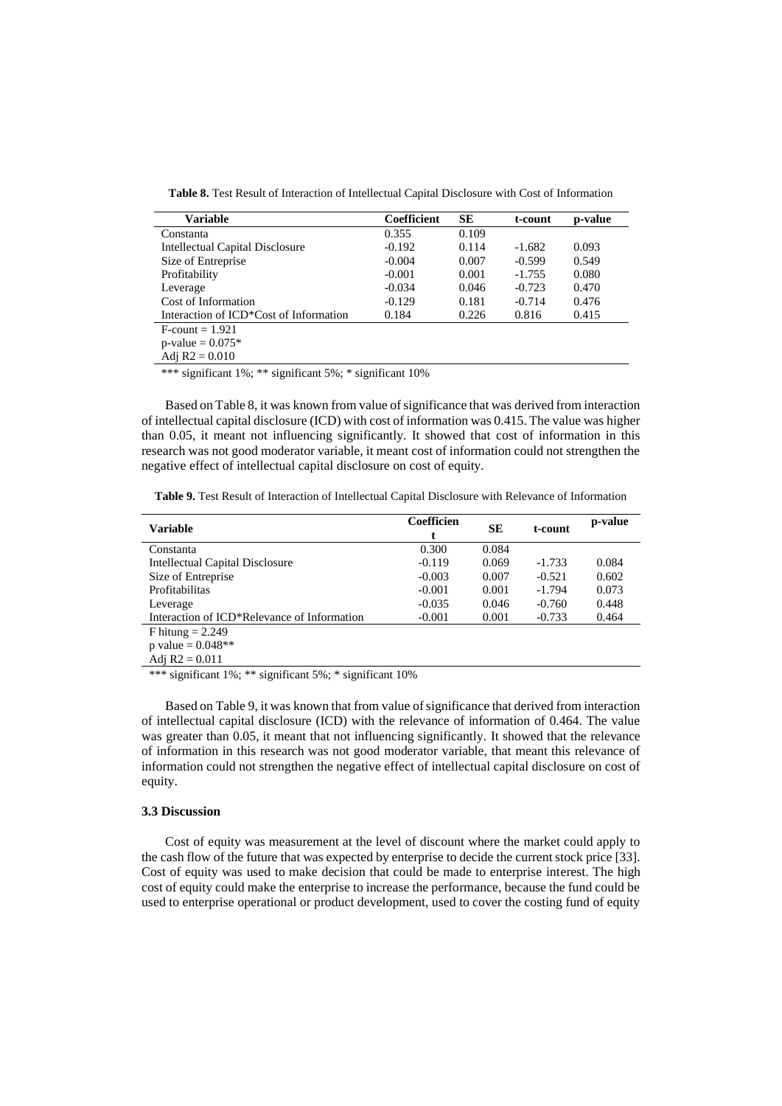**Table 8.** Test Result of Interaction of Intellectual Capital Disclosure with Cost of Information

| <b>Variable</b>                        | Coefficient | SЕ    | t-count  | p-value |
|----------------------------------------|-------------|-------|----------|---------|
| Constanta                              | 0.355       | 0.109 |          |         |
| <b>Intellectual Capital Disclosure</b> | $-0.192$    | 0.114 | $-1.682$ | 0.093   |
| Size of Entreprise                     | $-0.004$    | 0.007 | $-0.599$ | 0.549   |
| Profitability                          | $-0.001$    | 0.001 | $-1.755$ | 0.080   |
| Leverage                               | $-0.034$    | 0.046 | $-0.723$ | 0.470   |
| Cost of Information                    | $-0.129$    | 0.181 | $-0.714$ | 0.476   |
| Interaction of ICD*Cost of Information | 0.184       | 0.226 | 0.816    | 0.415   |
| $F$ -count = 1.921                     |             |       |          |         |
| $p$ -value = 0.075*                    |             |       |          |         |
| Adi $R2 = 0.010$                       |             |       |          |         |

\*\*\* significant 1%; \*\* significant 5%; \* significant 10%

Based on Table 8, it was known from value of significance that was derived from interaction of intellectual capital disclosure (ICD) with cost of information was 0.415. The value was higher than 0.05, it meant not influencing significantly. It showed that cost of information in this research was not good moderator variable, it meant cost of information could not strengthen the negative effect of intellectual capital disclosure on cost of equity.

**Table 9.** Test Result of Interaction of Intellectual Capital Disclosure with Relevance of Information

| Variable                                    | Coefficien | SЕ    | t-count  | p-value |
|---------------------------------------------|------------|-------|----------|---------|
| Constanta                                   | 0.300      | 0.084 |          |         |
| <b>Intellectual Capital Disclosure</b>      | $-0.119$   | 0.069 | $-1.733$ | 0.084   |
| Size of Entreprise                          | $-0.003$   | 0.007 | $-0.521$ | 0.602   |
| Profitabilitas                              | $-0.001$   | 0.001 | $-1.794$ | 0.073   |
| Leverage                                    | $-0.035$   | 0.046 | $-0.760$ | 0.448   |
| Interaction of ICD*Relevance of Information | $-0.001$   | 0.001 | $-0.733$ | 0.464   |
| F hitung $= 2.249$                          |            |       |          |         |
| p value = $0.048**$                         |            |       |          |         |
| Adj $R2 = 0.011$                            |            |       |          |         |

\*\*\* significant 1%; \*\* significant 5%; \* significant 10%

Based on Table 9, it was known that from value of significance that derived from interaction of intellectual capital disclosure (ICD) with the relevance of information of 0.464. The value was greater than 0.05, it meant that not influencing significantly. It showed that the relevance of information in this research was not good moderator variable, that meant this relevance of information could not strengthen the negative effect of intellectual capital disclosure on cost of equity.

## **3.3 Discussion**

Cost of equity was measurement at the level of discount where the market could apply to the cash flow of the future that was expected by enterprise to decide the current stock price [33]. Cost of equity was used to make decision that could be made to enterprise interest. The high cost of equity could make the enterprise to increase the performance, because the fund could be used to enterprise operational or product development, used to cover the costing fund of equity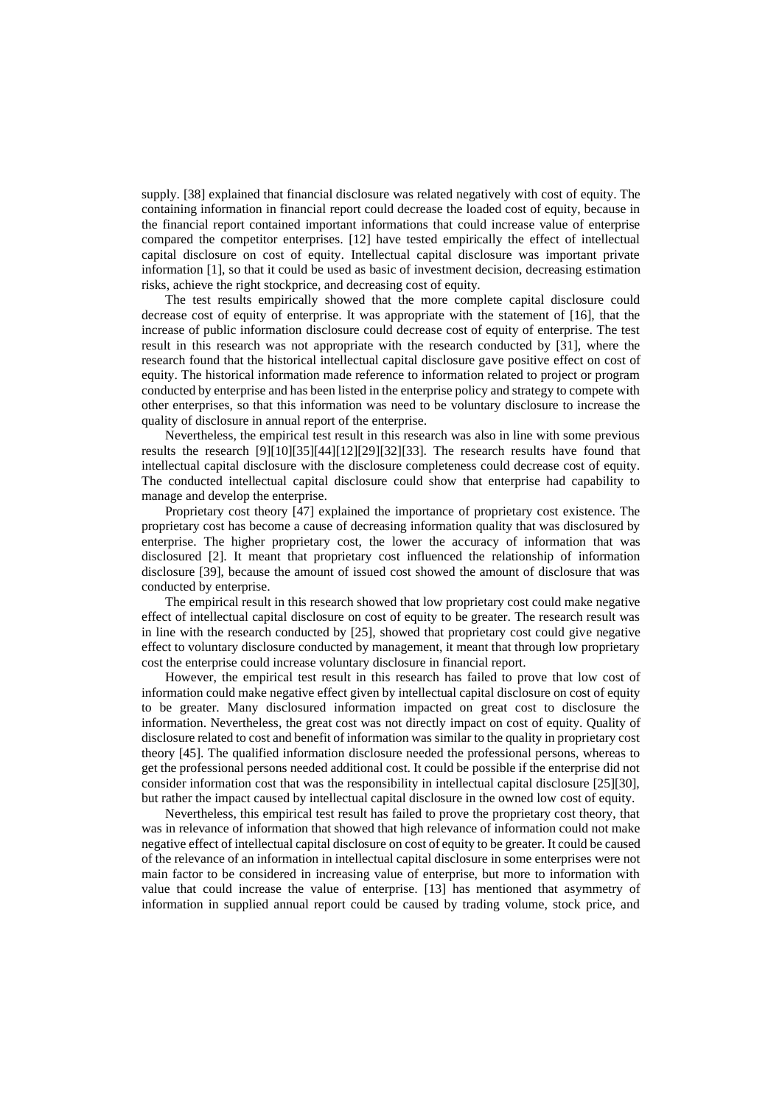supply. [38] explained that financial disclosure was related negatively with cost of equity. The containing information in financial report could decrease the loaded cost of equity, because in the financial report contained important informations that could increase value of enterprise compared the competitor enterprises. [12] have tested empirically the effect of intellectual capital disclosure on cost of equity. Intellectual capital disclosure was important private information [1], so that it could be used as basic of investment decision, decreasing estimation risks, achieve the right stockprice, and decreasing cost of equity.

The test results empirically showed that the more complete capital disclosure could decrease cost of equity of enterprise. It was appropriate with the statement of [16], that the increase of public information disclosure could decrease cost of equity of enterprise. The test result in this research was not appropriate with the research conducted by [31], where the research found that the historical intellectual capital disclosure gave positive effect on cost of equity. The historical information made reference to information related to project or program conducted by enterprise and has been listed in the enterprise policy and strategy to compete with other enterprises, so that this information was need to be voluntary disclosure to increase the quality of disclosure in annual report of the enterprise.

Nevertheless, the empirical test result in this research was also in line with some previous results the research [9][10][35][44][12][29][32][33]. The research results have found that intellectual capital disclosure with the disclosure completeness could decrease cost of equity. The conducted intellectual capital disclosure could show that enterprise had capability to manage and develop the enterprise.

Proprietary cost theory [47] explained the importance of proprietary cost existence. The proprietary cost has become a cause of decreasing information quality that was disclosured by enterprise. The higher proprietary cost, the lower the accuracy of information that was disclosured [2]. It meant that proprietary cost influenced the relationship of information disclosure [39], because the amount of issued cost showed the amount of disclosure that was conducted by enterprise.

The empirical result in this research showed that low proprietary cost could make negative effect of intellectual capital disclosure on cost of equity to be greater. The research result was in line with the research conducted by [25], showed that proprietary cost could give negative effect to voluntary disclosure conducted by management, it meant that through low proprietary cost the enterprise could increase voluntary disclosure in financial report.

However, the empirical test result in this research has failed to prove that low cost of information could make negative effect given by intellectual capital disclosure on cost of equity to be greater. Many disclosured information impacted on great cost to disclosure the information. Nevertheless, the great cost was not directly impact on cost of equity. Quality of disclosure related to cost and benefit of information was similar to the quality in proprietary cost theory [45]. The qualified information disclosure needed the professional persons, whereas to get the professional persons needed additional cost. It could be possible if the enterprise did not consider information cost that was the responsibility in intellectual capital disclosure [25][30], but rather the impact caused by intellectual capital disclosure in the owned low cost of equity.

Nevertheless, this empirical test result has failed to prove the proprietary cost theory, that was in relevance of information that showed that high relevance of information could not make negative effect of intellectual capital disclosure on cost of equity to be greater. It could be caused of the relevance of an information in intellectual capital disclosure in some enterprises were not main factor to be considered in increasing value of enterprise, but more to information with value that could increase the value of enterprise. [13] has mentioned that asymmetry of information in supplied annual report could be caused by trading volume, stock price, and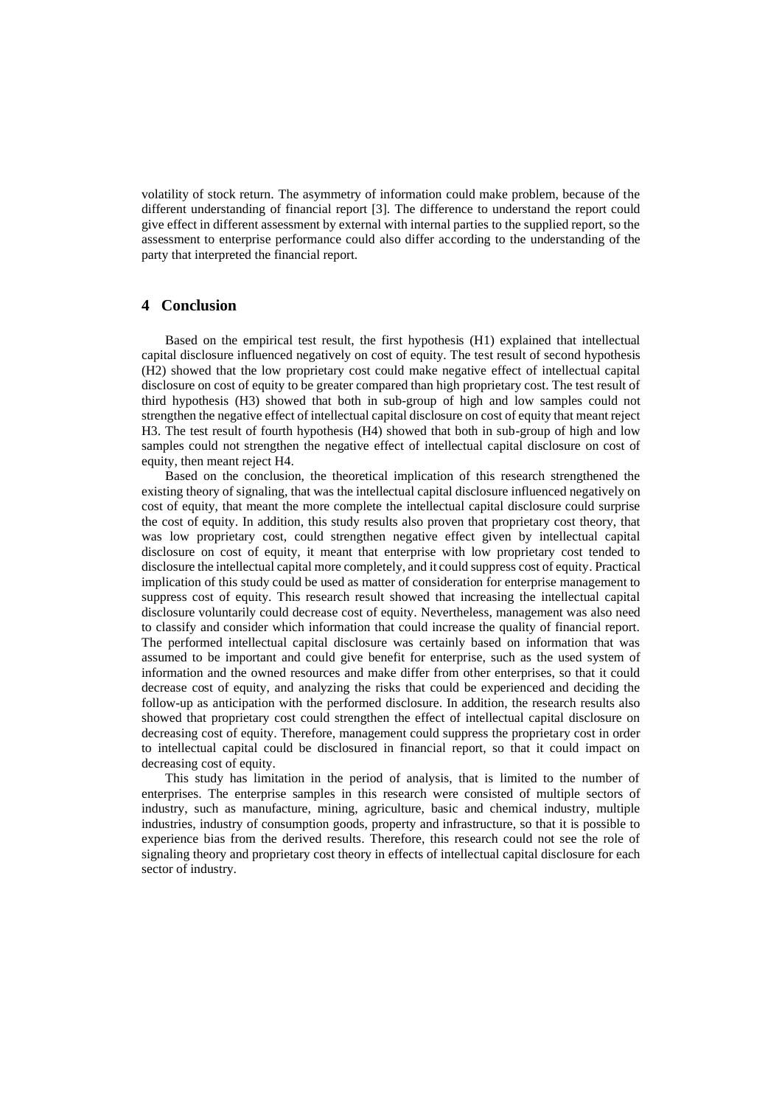volatility of stock return. The asymmetry of information could make problem, because of the different understanding of financial report [3]. The difference to understand the report could give effect in different assessment by external with internal parties to the supplied report, so the assessment to enterprise performance could also differ according to the understanding of the party that interpreted the financial report.

## **4 Conclusion**

Based on the empirical test result, the first hypothesis (H1) explained that intellectual capital disclosure influenced negatively on cost of equity. The test result of second hypothesis (H2) showed that the low proprietary cost could make negative effect of intellectual capital disclosure on cost of equity to be greater compared than high proprietary cost. The test result of third hypothesis (H3) showed that both in sub-group of high and low samples could not strengthen the negative effect of intellectual capital disclosure on cost of equity that meant reject H3. The test result of fourth hypothesis (H4) showed that both in sub-group of high and low samples could not strengthen the negative effect of intellectual capital disclosure on cost of equity, then meant reject H4.

Based on the conclusion, the theoretical implication of this research strengthened the existing theory of signaling, that was the intellectual capital disclosure influenced negatively on cost of equity, that meant the more complete the intellectual capital disclosure could surprise the cost of equity. In addition, this study results also proven that proprietary cost theory, that was low proprietary cost, could strengthen negative effect given by intellectual capital disclosure on cost of equity, it meant that enterprise with low proprietary cost tended to disclosure the intellectual capital more completely, and it could suppress cost of equity. Practical implication of this study could be used as matter of consideration for enterprise management to suppress cost of equity. This research result showed that increasing the intellectual capital disclosure voluntarily could decrease cost of equity. Nevertheless, management was also need to classify and consider which information that could increase the quality of financial report. The performed intellectual capital disclosure was certainly based on information that was assumed to be important and could give benefit for enterprise, such as the used system of information and the owned resources and make differ from other enterprises, so that it could decrease cost of equity, and analyzing the risks that could be experienced and deciding the follow-up as anticipation with the performed disclosure. In addition, the research results also showed that proprietary cost could strengthen the effect of intellectual capital disclosure on decreasing cost of equity. Therefore, management could suppress the proprietary cost in order to intellectual capital could be disclosured in financial report, so that it could impact on decreasing cost of equity.

This study has limitation in the period of analysis, that is limited to the number of enterprises. The enterprise samples in this research were consisted of multiple sectors of industry, such as manufacture, mining, agriculture, basic and chemical industry, multiple industries, industry of consumption goods, property and infrastructure, so that it is possible to experience bias from the derived results. Therefore, this research could not see the role of signaling theory and proprietary cost theory in effects of intellectual capital disclosure for each sector of industry.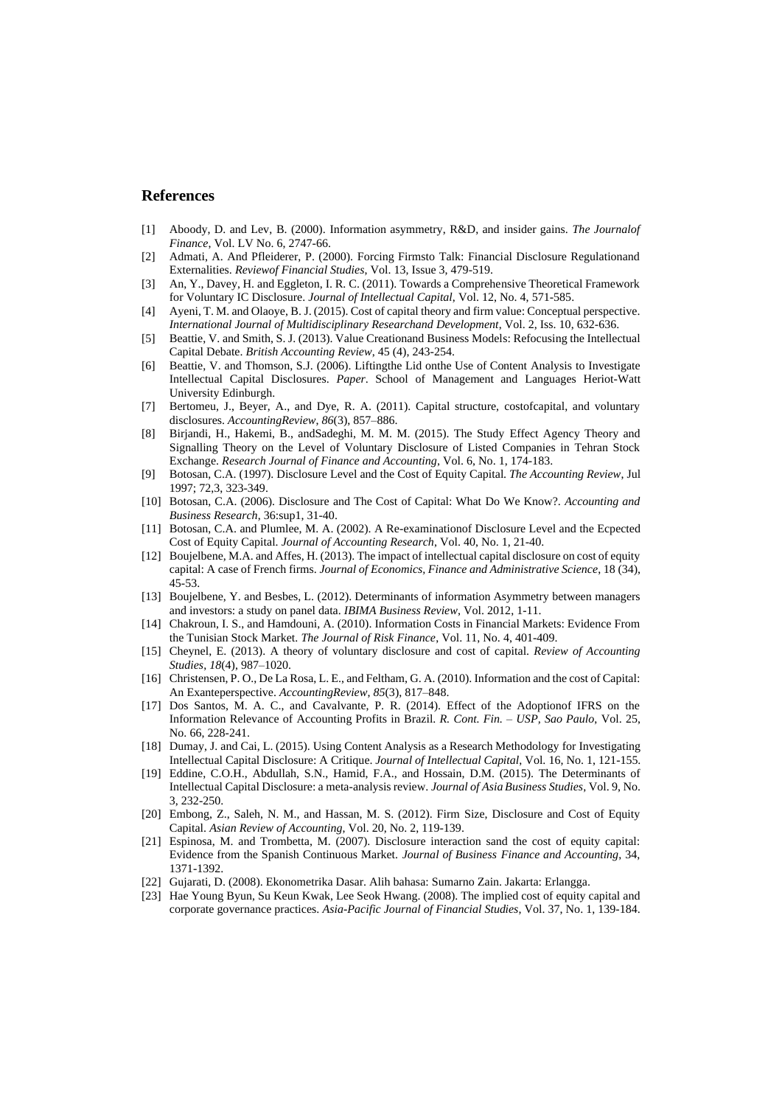## **References**

- [1] Aboody, D. and Lev, B. (2000). Information asymmetry, R&D, and insider gains. *The Journalof Finance*, Vol. LV No. 6, 2747-66.
- [2] Admati, A. And Pfleiderer, P. (2000). Forcing Firmsto Talk: Financial Disclosure Regulationand Externalities. *Reviewof Financial Studies*, Vol. 13, Issue 3, 479-519.
- [3] An, Y., Davey, H. and Eggleton, I. R. C. (2011). Towards a Comprehensive Theoretical Framework for Voluntary IC Disclosure. *Journal of Intellectual Capital*, Vol. 12, No. 4, 571-585.
- [4] Ayeni, T. M. and Olaoye, B. J. (2015). Cost of capital theory and firm value: Conceptual perspective. *International Journal of Multidisciplinary Researchand Development*, Vol. 2, Iss. 10, 632-636.
- [5] Beattie, V. and Smith, S. J. (2013). Value Creationand Business Models: Refocusing the Intellectual Capital Debate. *British Accounting Review*, 45 (4), 243-254.
- [6] Beattie, V. and Thomson, S.J. (2006). Liftingthe Lid onthe Use of Content Analysis to Investigate Intellectual Capital Disclosures. *Paper*. School of Management and Languages Heriot-Watt University Edinburgh.
- [7] Bertomeu, J., Beyer, A., and Dye, R. A. (2011). Capital structure, costofcapital, and voluntary disclosures. *AccountingReview*, *86*(3), 857–886.
- [8] Birjandi, H., Hakemi, B., andSadeghi, M. M. M. (2015). The Study Effect Agency Theory and Signalling Theory on the Level of Voluntary Disclosure of Listed Companies in Tehran Stock Exchange. *Research Journal of Finance and Accounting*, Vol. 6, No. 1, 174-183.
- [9] Botosan, C.A. (1997). Disclosure Level and the Cost of Equity Capital. *The Accounting Review*, Jul 1997; 72,3, 323-349.
- [10] Botosan, C.A. (2006). Disclosure and The Cost of Capital: What Do We Know?. *Accounting and Business Research*, 36:sup1, 31-40.
- [11] Botosan, C.A. and Plumlee, M. A. (2002). A Re-examinationof Disclosure Level and the Ecpected Cost of Equity Capital. *Journal of Accounting Research*, Vol. 40, No. 1, 21-40.
- [12] Boujelbene, M.A. and Affes, H. (2013). The impact of intellectual capital disclosure on cost of equity capital: A case of French firms. *Journal of Economics, Finance and Administrative Science*, 18 (34), 45-53.
- [13] Boujelbene, Y. and Besbes, L. (2012). Determinants of information Asymmetry between managers and investors: a study on panel data. *IBIMA Business Review*, Vol. 2012, 1-11.
- [14] Chakroun, I. S., and Hamdouni, A. (2010). Information Costs in Financial Markets: Evidence From the Tunisian Stock Market. *The Journal of Risk Finance*, Vol. 11, No. 4, 401-409.
- [15] Cheynel, E. (2013). A theory of voluntary disclosure and cost of capital. *Review of Accounting Studies*, *18*(4), 987–1020.
- [16] Christensen, P. O., De La Rosa, L. E., and Feltham, G. A. (2010). Information and the cost of Capital: An Exanteperspective. *AccountingReview*, *85*(3), 817–848.
- [17] Dos Santos, M. A. C., and Cavalvante, P. R. (2014). Effect of the Adoptionof IFRS on the Information Relevance of Accounting Profits in Brazil. *R. Cont. Fin. – USP, Sao Paulo*, Vol. 25, No. 66, 228-241.
- [18] Dumay, J. and Cai, L. (2015). Using Content Analysis as a Research Methodology for Investigating Intellectual Capital Disclosure: A Critique. *Journal of Intellectual Capital*, Vol. 16, No. 1, 121-155.
- [19] Eddine, C.O.H., Abdullah, S.N., Hamid, F.A., and Hossain, D.M. (2015). The Determinants of Intellectual Capital Disclosure: a meta-analysis review. *Journal of Asia Business Studies*, Vol. 9, No. 3, 232-250.
- [20] Embong, Z., Saleh, N. M., and Hassan, M. S. (2012). Firm Size, Disclosure and Cost of Equity Capital. *Asian Review of Accounting*, Vol. 20, No. 2, 119-139.
- [21] Espinosa, M. and Trombetta, M. (2007). Disclosure interaction sand the cost of equity capital: Evidence from the Spanish Continuous Market. *Journal of Business Finance and Accounting*, 34, 1371-1392.
- [22] Gujarati, D. (2008). Ekonometrika Dasar. Alih bahasa: Sumarno Zain. Jakarta: Erlangga.
- [23] Hae Young Byun, Su Keun Kwak, Lee Seok Hwang. (2008). The implied cost of equity capital and corporate governance practices. *Asia-Pacific Journal of Financial Studies*, Vol. 37, No. 1, 139-184.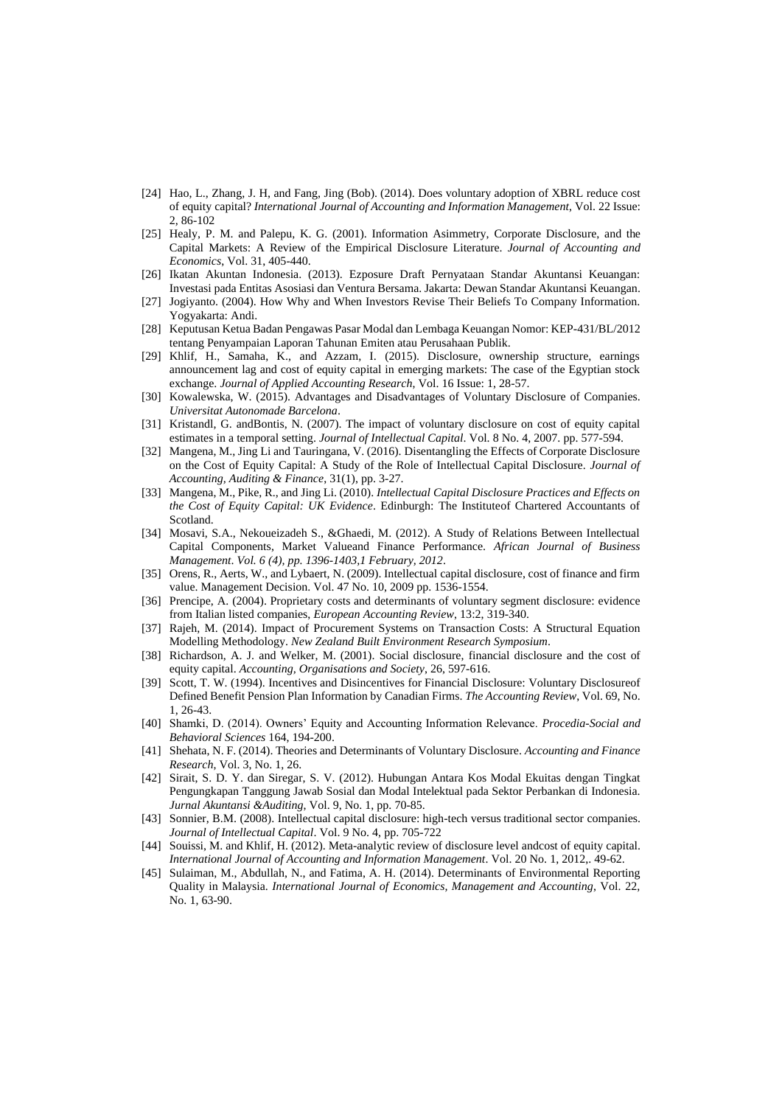- [24] Hao, L., Zhang, J. H, and Fang, Jing (Bob). (2014). Does voluntary adoption of XBRL reduce cost of equity capital? *International Journal of Accounting and Information Management*, Vol. 22 Issue: 2, 86-102
- [25] Healy, P. M. and Palepu, K. G. (2001). Information Asimmetry, Corporate Disclosure, and the Capital Markets: A Review of the Empirical Disclosure Literature. *Journal of Accounting and Economics*, Vol. 31, 405-440.
- [26] Ikatan Akuntan Indonesia. (2013). Ezposure Draft Pernyataan Standar Akuntansi Keuangan: Investasi pada Entitas Asosiasi dan Ventura Bersama. Jakarta: Dewan Standar Akuntansi Keuangan.
- [27] Jogiyanto. (2004). How Why and When Investors Revise Their Beliefs To Company Information. Yogyakarta: Andi.
- [28] Keputusan Ketua Badan Pengawas Pasar Modal dan Lembaga Keuangan Nomor: KEP-431/BL/2012 tentang Penyampaian Laporan Tahunan Emiten atau Perusahaan Publik.
- [29] Khlif, H., Samaha, K., and Azzam, I. (2015). Disclosure, ownership structure, earnings announcement lag and cost of equity capital in emerging markets: The case of the Egyptian stock exchange. *Journal of Applied Accounting Research*, Vol. 16 Issue: 1, 28-57.
- [30] Kowalewska, W. (2015). Advantages and Disadvantages of Voluntary Disclosure of Companies. *Universitat Autonomade Barcelona*.
- [31] Kristandl, G. andBontis, N. (2007). The impact of voluntary disclosure on cost of equity capital estimates in a temporal setting. *Journal of Intellectual Capital*. Vol. 8 No. 4, 2007. pp. 577-594.
- [32] Mangena, M., Jing Li and Tauringana, V. (2016). Disentangling the Effects of Corporate Disclosure on the Cost of Equity Capital: A Study of the Role of Intellectual Capital Disclosure. *Journal of Accounting, Auditing & Finance*, 31(1), pp. 3-27.
- [33] Mangena, M., Pike, R., and Jing Li. (2010). *Intellectual Capital Disclosure Practices and Effects on the Cost of Equity Capital: UK Evidence*. Edinburgh: The Instituteof Chartered Accountants of Scotland.
- [34] Mosavi, S.A., Nekoueizadeh S., &Ghaedi, M. (2012). A Study of Relations Between Intellectual Capital Components, Market Valueand Finance Performance. *African Journal of Business Management*. *Vol. 6 (4), pp. 1396-1403,1 February, 2012*.
- [35] Orens, R., Aerts, W., and Lybaert, N. (2009). Intellectual capital disclosure, cost of finance and firm value. Management Decision. Vol. 47 No. 10, 2009 pp. 1536-1554.
- [36] Prencipe, A. (2004). Proprietary costs and determinants of voluntary segment disclosure: evidence from Italian listed companies, *European Accounting Review*, 13:2, 319-340.
- [37] Rajeh, M. (2014). Impact of Procurement Systems on Transaction Costs: A Structural Equation Modelling Methodology. *New Zealand Built Environment Research Symposium*.
- [38] Richardson, A. J. and Welker, M. (2001). Social disclosure, financial disclosure and the cost of equity capital. *Accounting, Organisations and Society*, 26, 597-616.
- [39] Scott, T. W. (1994). Incentives and Disincentives for Financial Disclosure: Voluntary Disclosureof Defined Benefit Pension Plan Information by Canadian Firms. *The Accounting Review*, Vol. 69, No. 1, 26-43.
- [40] Shamki, D. (2014). Owners' Equity and Accounting Information Relevance. *Procedia-Social and Behavioral Sciences* 164, 194-200.
- [41] Shehata, N. F. (2014). Theories and Determinants of Voluntary Disclosure. *Accounting and Finance Research*, Vol. 3, No. 1, 26.
- [42] Sirait, S. D. Y. dan Siregar, S. V. (2012). Hubungan Antara Kos Modal Ekuitas dengan Tingkat Pengungkapan Tanggung Jawab Sosial dan Modal Intelektual pada Sektor Perbankan di Indonesia. *Jurnal Akuntansi &Auditing*, Vol. 9, No. 1, pp. 70-85.
- [43] Sonnier, B.M. (2008). Intellectual capital disclosure: high-tech versus traditional sector companies. *Journal of Intellectual Capital*. Vol. 9 No. 4, pp. 705-722
- [44] Souissi, M. and Khlif, H. (2012). Meta-analytic review of disclosure level andcost of equity capital. *International Journal of Accounting and Information Management*. Vol. 20 No. 1, 2012,. 49-62.
- [45] Sulaiman, M., Abdullah, N., and Fatima, A. H. (2014). Determinants of Environmental Reporting Quality in Malaysia. *International Journal of Economics, Management and Accounting*, Vol. 22, No. 1, 63-90.